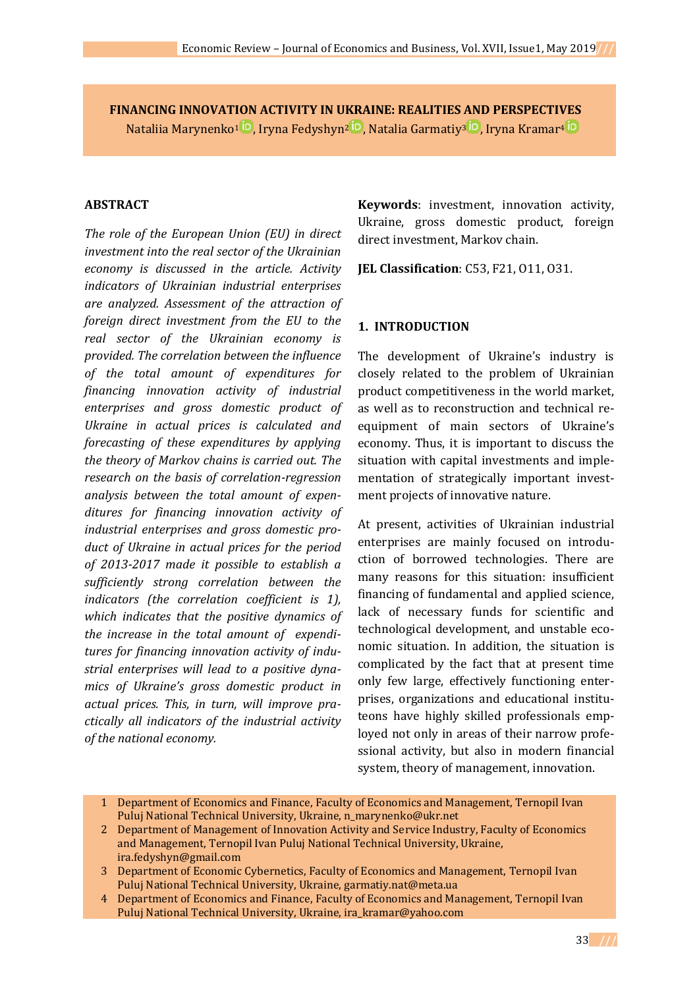**FINANCING INNOVATION ACTIVITY IN UKRAINE: REALITIES AND PERSPECTIVES** Nataliia [Marynenko](https://orcid.org/0000-0002-6645-8167)<sup>1</sup> <sup>ID</sup>, Iryna [Fedyshyn](https://orcid.org/0000-0001-5531-4566)<sup>2 ID</sup>, Natalia [Garmatiy](https://orcid.org/0000-0003-4426-9223)<sup>3 ID</sup>, Iryn[a Kramar](https://orcid.org/0000-0001-5768-988X)<sup>4 ID</sup>

### **ABSTRACT**

*The role of the European Union (EU) in direct investment into the real sector of the Ukrainian economy is discussed in the article. Activity indicators of Ukrainian industrial enterprises are analyzed. Assessment of the attraction of foreign direct investment from the EU to the real sector of the Ukrainian economy is provided. The correlation between the influence of the total amount of expenditures for financing innovation activity of industrial enterprises and gross domestic product of Ukraine in actual prices is calculated and forecasting of these expenditures by applying the theory of Markov chains is carried out. The research on the basis of correlation-regression analysis between the total amount of expenditures for financing innovation activity of industrial enterprises and gross domestic product of Ukraine in actual prices for the period of 2013-2017 made it possible to establish a sufficiently strong correlation between the indicators (the correlation coefficient is 1), which indicates that the positive dynamics of the increase in the total amount of expenditures for financing innovation activity of industrial enterprises will lead to a positive dynamics of Ukraine's gross domestic product in actual prices. This, in turn, will improve practically all indicators of the industrial activity of the national economy.*

**Keywords**: investment, innovation activity, Ukraine, gross domestic product, foreign direct investment, Markov chain.

**JEL Classification**: C53, F21, O11, O31.

### **1. INTRODUCTION**

The development of Ukraine's industry is closely related to the problem of Ukrainian product competitiveness in the world market, as well as to reconstruction and technical reequipment of main sectors of Ukraine's economy. Thus, it is important to discuss the situation with capital investments and implementation of strategically important investment projects of innovative nature.

At present, activities of Ukrainian industrial enterprises are mainly focused on introduction of borrowed technologies. There are many reasons for this situation: insufficient financing of fundamental and applied science, lack of necessary funds for scientific and technological development, and unstable economic situation. In addition, the situation is complicated by the fact that at present time only few large, effectively functioning enterprises, organizations and educational instituteons have highly skilled professionals employed not only in areas of their narrow professional activity, but also in modern financial system, theory of management, innovation.

<sup>1</sup> Department of Economics and Finance, Faculty of Economics and Management, Ternopil Ivan Puluj National Technical University, Ukraine, [n\\_marynenko@ukr.net](mailto:n_marynenko@ukr.net)

<sup>2</sup> Department of Management of Innovation Activity and Service Industry, Faculty of Economics and Management, Ternopil Ivan Puluj National Technical University, Ukraine, [ira.fedyshyn@gmail.com](mailto:ira.fedyshyn@gmail.com)

<sup>3</sup> Department of Economic Cybernetics, Faculty of Economics and Management, Ternopil Ivan Puluj National Technical University, Ukraine, [garmatiy.nat@meta.ua](mailto:garmatiy.nat@meta.ua)

<sup>4</sup> Department of Economics and Finance, Faculty of Economics and Management, Ternopil Ivan Puluj National Technical University, Ukraine, [ira\\_kramar@yahoo.com](mailto:ira_kramar@yahoo.com)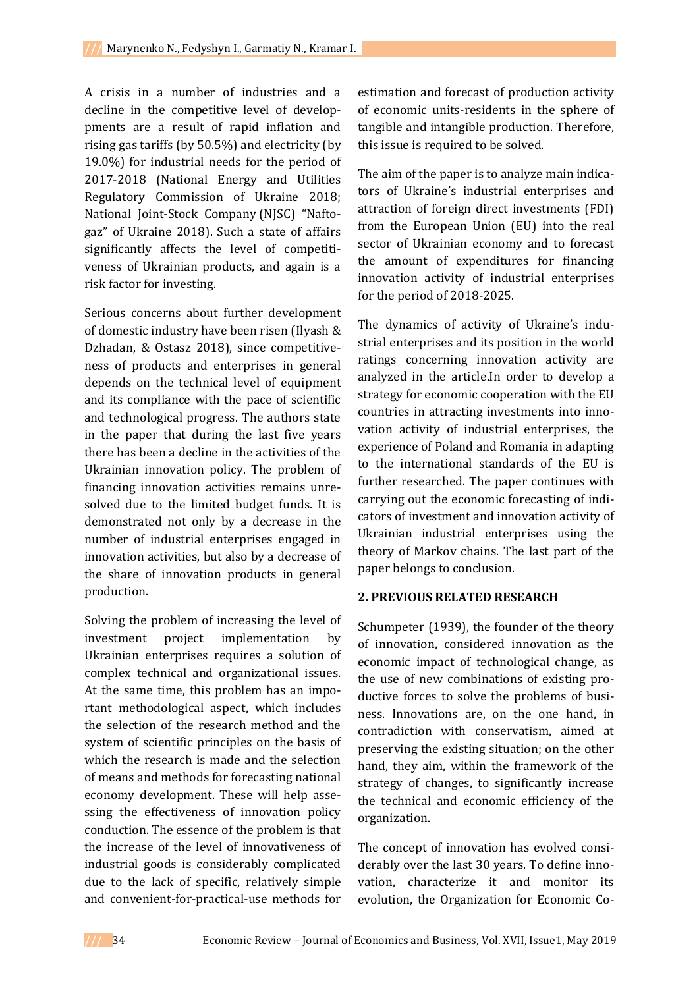A crisis in a number of industries and a decline in the competitive level of developpments are a result of rapid inflation and rising gas tariffs (by 50.5%) and electricity (by 19.0%) for industrial needs for the period of 2017-2018 (National Energy and Utilities Regulatory Commission of Ukraine 2018; National Joint-Stock Company (NJSC) "Naftogaz" of Ukraine 2018). Such a state of affairs significantly affects the level of competitiveness of Ukrainian products, and again is a risk factor for investing.

Serious concerns about further development of domestic industry have been risen (Ilyash & Dzhadan, & Ostasz 2018), since competitiveness of products and enterprises in general depends on the technical level of equipment and its compliance with the pace of scientific and technological progress. The authors state in the paper that during the last five years there has been a decline in the activities of the Ukrainian innovation policy. The problem of financing innovation activities remains unresolved due to the limited budget funds. It is demonstrated not only by a decrease in the number of industrial enterprises engaged in innovation activities, but also by a decrease of the share of innovation products in general production.

Solving the problem of increasing the level of investment project implementation by Ukrainian enterprises requires a solution of complex technical and organizational issues. At the same time, this problem has an important methodological aspect, which includes the selection of the research method and the system of scientific principles on the basis of which the research is made and the selection of means and methods for forecasting national economy development. These will help assessing the effectiveness of innovation policy conduction. The essence of the problem is that the increase of the level of innovativeness of industrial goods is considerably complicated due to the lack of specific, relatively simple and convenient-for-practical-use methods for

estimation and forecast of production activity of economic units-residents in the sphere of tangible and intangible production. Therefore, this issue is required to be solved.

The aim of the paper is to analyze main indicators of Ukraine's industrial enterprises and attraction of foreign direct investments (FDI) from the European Union (EU) into the real sector of Ukrainian economy and to forecast the amount of expenditures for financing innovation activity of industrial enterprises for the period of 2018-2025.

The dynamics of activity of Ukraine's industrial enterprises and its position in the world ratings concerning innovation activity are analyzed in the article.In order to develop a strategy for economic cooperation with the EU countries in attracting investments into innovation activity of industrial enterprises, the experience of Poland and Romania in adapting to the international standards of the EU is further researched. The paper continues with carrying out the economic forecasting of indicators of investment and innovation activity of Ukrainian industrial enterprises using the theory of Markov chains. The last part of the paper belongs to conclusion.

## **2. PREVIOUS RELATED RESEARCH**

Schumpeter (1939), the founder of the theory of innovation, considered innovation as the economic impact of technological change, as the use of new combinations of existing productive forces to solve the problems of business. Innovations are, on the one hand, in contradiction with conservatism, aimed at preserving the existing situation; on the other hand, they aim, within the framework of the strategy of changes, to significantly increase the technical and economic efficiency of the organization.

The concept of innovation has evolved considerably over the last 30 years. To define innovation, characterize it and monitor its evolution, the Organization for Economic Co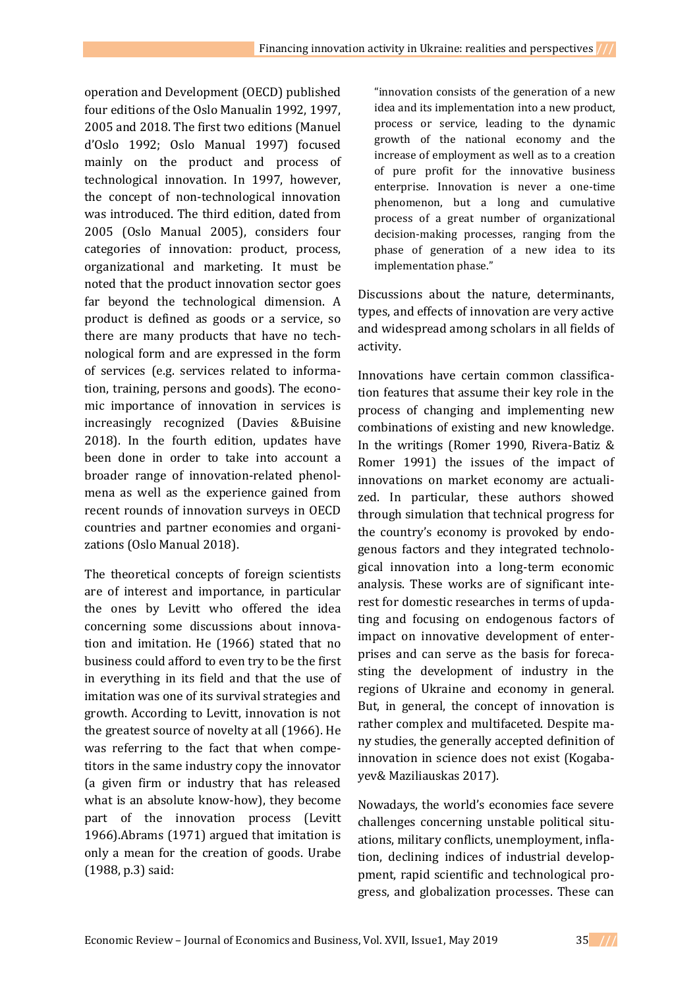operation and Development (OECD) published four editions of the Oslo Manualin 1992, 1997, 2005 and 2018. The first two editions (Manuel d'Oslo 1992; Oslo Manual 1997) focused mainly on the product and process of technological innovation. In 1997, however, the concept of non-technological innovation was introduced. The third edition, dated from 2005 (Oslo Manual 2005), considers four categories of innovation: product, process, organizational and marketing. It must be noted that the product innovation sector goes far beyond the technological dimension. A product is defined as goods or a service, so there are many products that have no technological form and are expressed in the form of services (e.g. services related to information, training, persons and goods). The economic importance of innovation in services is increasingly recognized (Davies &Buisine 2018). In the fourth edition, updates have been done in order to take into account a broader range of innovation-related phenolmena as well as the experience gained from recent rounds of innovation surveys in OECD countries and partner economies and organizations (Oslo Manual 2018).

The theoretical concepts of foreign scientists are of interest and importance, in particular the ones by Levitt who offered the idea concerning some discussions about innovation and imitation. He (1966) stated that no business could afford to even try to be the first in everything in its field and that the use of imitation was one of its survival strategies and growth. According to Levitt, innovation is not the greatest source of novelty at all (1966). He was referring to the fact that when competitors in the same industry copy the innovator (a given firm or industry that has released what is an absolute know-how), they become part of the innovation process (Levitt 1966).Abrams (1971) argued that imitation is only a mean for the creation of goods. Urabe (1988, p.3) said:

"innovation consists of the generation of a new idea and its implementation into a new product, process or service, leading to the dynamic growth of the national economy and the increase of employment as well as to a creation of pure profit for the innovative business enterprise. Innovation is never a one-time phenomenon, but a long and cumulative process of a great number of organizational decision-making processes, ranging from the phase of generation of a new idea to its implementation phase."

Discussions about the nature, determinants, types, and effects of innovation are very active and widespread among scholars in all fields of activity.

Innovations have certain common classification features that assume their key role in the process of changing and implementing new combinations of existing and new knowledge. In the writings (Romer 1990, Rivera-Batiz & Romer 1991) the issues of the impact of innovations on market economy are actualized. In particular, these authors showed through simulation that technical progress for the country's economy is provoked by endogenous factors and they integrated technological innovation into a long-term economic analysis. These works are of significant interest for domestic researches in terms of updating and focusing on endogenous factors of impact on innovative development of enterprises and can serve as the basis for forecasting the development of industry in the regions of Ukraine and economy in general. But, in general, the concept of innovation is rather complex and multifaceted. Despite many studies, the generally accepted definition of innovation in science does not exist (Kogabayev& Maziliauskas 2017).

Nowadays, the world's economies face severe challenges concerning unstable political situations, military conflicts, unemployment, inflation, declining indices of industrial developpment, rapid scientific and technological progress, and globalization processes. These can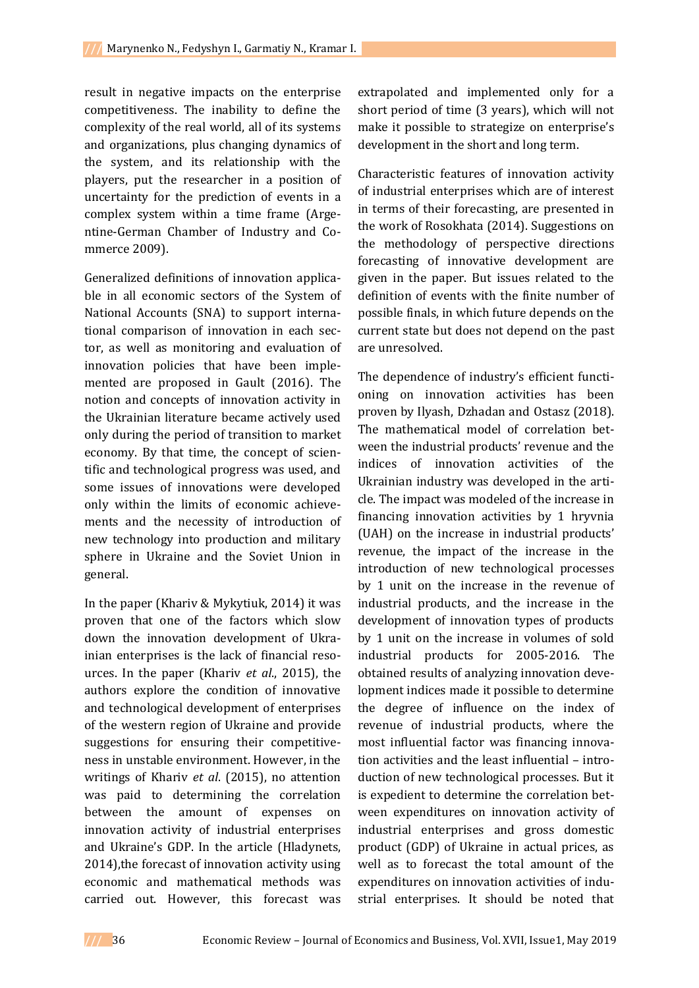result in negative impacts on the enterprise competitiveness. The inability to define the complexity of the real world, all of its systems and organizations, plus changing dynamics of the system, and its relationship with the players, put the researcher in a position of uncertainty for the prediction of events in a complex system within a time frame (Argentine-German Chamber of Industry and Commerce 2009).

Generalized definitions of innovation applicable in all economic sectors of the System of National Accounts (SNA) to support international comparison of innovation in each sector, as well as monitoring and evaluation of innovation policies that have been implemented are proposed in Gault (2016). The notion and concepts of innovation activity in the Ukrainian literature became actively used only during the period of transition to market economy. By that time, the concept of scientific and technological progress was used, and some issues of innovations were developed only within the limits of economic achievements and the necessity of introduction of new technology into production and military sphere in Ukraine and the Soviet Union in general.

In the paper (Khariv & Mykytiuk, 2014) it was proven that one of the factors which slow down the innovation development of Ukrainian enterprises is the lack of financial resources. In the paper (Khariv *et al*., 2015), the authors explore the condition of innovative and technological development of enterprises of the western region of Ukraine and provide suggestions for ensuring their competitiveness in unstable environment. However, in the writings of Khariv *et al*. (2015), no attention was paid to determining the correlation between the amount of expenses on innovation activity of industrial enterprises and Ukraine's GDP. In the article (Hladynets, 2014),the forecast of innovation activity using economic and mathematical methods was carried out. However, this forecast was

extrapolated and implemented only for a short period of time (3 years), which will not make it possible to strategize on enterprise's development in the short and long term.

Characteristic features of innovation activity of industrial enterprises which are of interest in terms of their forecasting, are presented in the work of Rosokhata (2014). Suggestions on the methodology of perspective directions forecasting of innovative development are given in the paper. But issues related to the definition of events with the finite number of possible finals, in which future depends on the current state but does not depend on the past are unresolved.

The dependence of industry's efficient functioning on innovation activities has been proven by Ilyash, Dzhadan and Ostasz (2018). The mathematical model of correlation between the industrial products' revenue and the indices of innovation activities of the Ukrainian industry was developed in the article. The impact was modeled of the increase in financing innovation activities by 1 hryvnia (UAH) on the increase in industrial products' revenue, the impact of the increase in the introduction of new technological processes by 1 unit on the increase in the revenue of industrial products, and the increase in the development of innovation types of products by 1 unit on the increase in volumes of sold industrial products for 2005-2016. The obtained results of analyzing innovation development indices made it possible to determine the degree of influence on the index of revenue of industrial products, where the most influential factor was financing innovation activities and the least influential – introduction of new technological processes. But it is expedient to determine the correlation between expenditures on innovation activity of industrial enterprises and gross domestic product (GDP) of Ukraine in actual prices, as well as to forecast the total amount of the expenditures on innovation activities of industrial enterprises. It should be noted that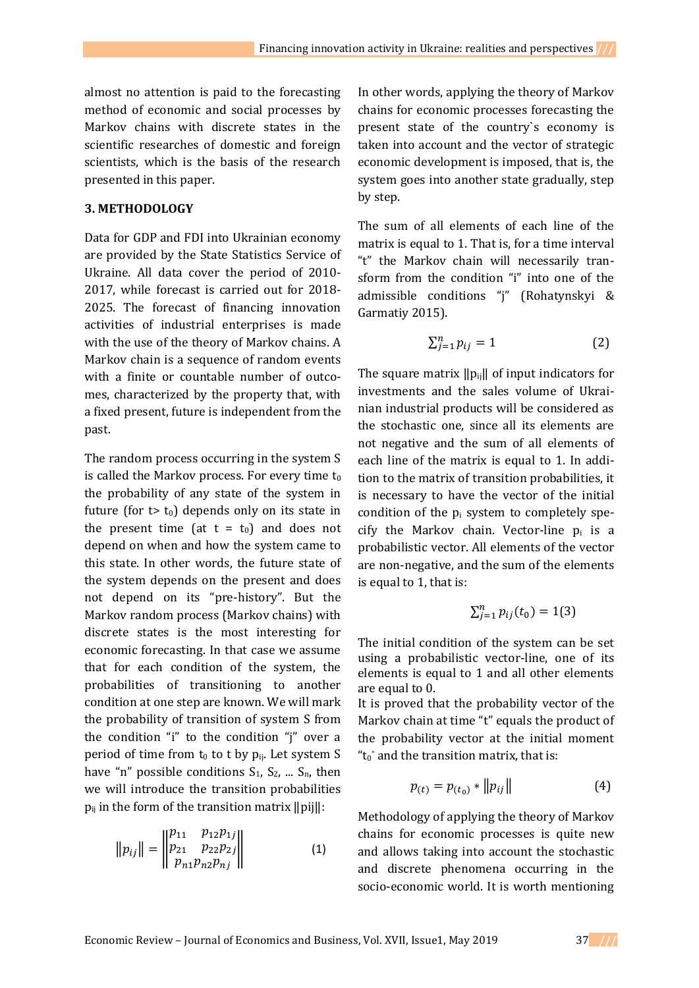almost no attention is paid to the forecasting method of economic and social processes by Markov chains with discrete states in the scientific researches of domestic and foreign scientists, which is the basis of the research presented in this paper.

### **3. METHODOLOGY**

Data for GDP and FDI into Ukrainian economy are provided by the State Statistics Service of Ukraine. All data cover the period of 2010- 2017, while forecast is carried out for 2018- 2025. The forecast of financing innovation activities of industrial enterprises is made with the use of the theory of Markov chains. A Markov chain is a sequence of random events with a finite or countable number of outcomes, characterized by the property that, with a fixed present, future is independent from the past.

The random process occurring in the system S is called the Markov process. For every time  $t_0$ the probability of any state of the system in future (for  $t$  t<sub>0</sub>) depends only on its state in the present time (at  $t = t_0$ ) and does not depend on when and how the system came to this state. In other words, the future state of the system depends on the present and does not depend on its "pre-history". But the Markov random process (Markov chains) with discrete states is the most interesting for economic forecasting. In that case we assume that for each condition of the system, the probabilities of transitioning to another condition at one step are known. We will mark the probability of transition of system S from the condition "i" to the condition "j" over a period of time from  $t_0$  to t by  $p_{ij}$ . Let system S have "n" possible conditions  $S_1$ ,  $S_2$ , ...  $S_n$ , then we will introduce the transition probabilities  $p_{ij}$  in the form of the transition matrix  $\|pi\|$ :

$$
||p_{ij}|| = \begin{vmatrix} p_{11} & p_{12}p_{1j} \\ p_{21} & p_{22}p_{2j} \\ p_{n1}p_{n2}p_{nj} \end{vmatrix}
$$
 (1)

In other words, applying the theory of Markov chains for economic processes forecasting the present state of the country`s economy is taken into account and the vector of strategic economic development is imposed, that is, the system goes into another state gradually, step by step.

The sum of all elements of each line of the matrix is equal to 1. That is, for a time interval "t" the Markov chain will necessarily transform from the condition "i" into one of the admissible conditions "j" (Rohatynskyi & Garmatiy 2015).

$$
\sum_{j=1}^{n} p_{ij} = 1 \tag{2}
$$

The square matrix  $\|p_{ii}\|$  of input indicators for investments and the sales volume of Ukrainian industrial products will be considered as the stochastic one, since all its elements are not negative and the sum of all elements of each line of the matrix is equal to 1. In addition to the matrix of transition probabilities, it is necessary to have the vector of the initial condition of the  $p_i$  system to completely specify the Markov chain. Vector-line  $p_i$  is a probabilistic vector. All elements of the vector are non-negative, and the sum of the elements is equal to 1, that is:

$$
\sum_{j=1}^{n} p_{ij}(t_0) = 1(3)
$$

The initial condition of the system can be set using a probabilistic vector-line, one of its elements is equal to 1 and all other elements are equal to 0.

It is proved that the probability vector of the Markov chain at time "t" equals the product of the probability vector at the initial moment " $t_0$ " and the transition matrix, that is:

$$
p_{(t)} = p_{(t_0)} * ||p_{ij}|| \tag{4}
$$

Methodology of applying the theory of Markov chains for economic processes is quite new and allows taking into account the stochastic and discrete phenomena occurring in the socio-economic world. It is worth mentioning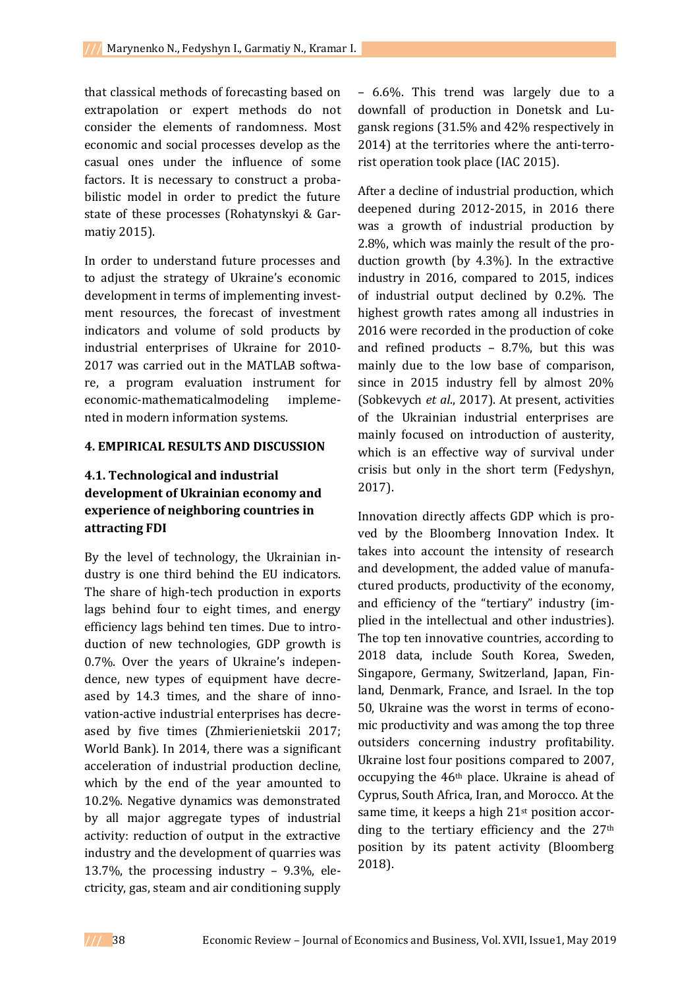that classical methods of forecasting based on extrapolation or expert methods do not consider the elements of randomness. Most economic and social processes develop as the casual ones under the influence of some factors. It is necessary to construct a probabilistic model in order to predict the future state of these processes (Rohatynskyi & Garmatiy 2015).

In order to understand future processes and to adjust the strategy of Ukraine's economic development in terms of implementing investment resources, the forecast of investment indicators and volume of sold products by industrial enterprises of Ukraine for 2010- 2017 was carried out in the MATLAB software, a program evaluation instrument for economic-mathematicalmodeling implemented in modern information systems.

#### **4. EMPIRICAL RESULTS AND DISCUSSION**

## **4.1. Technological and industrial development of Ukrainian economy and experience of neighboring countries in attracting FDI**

By the level of technology, the Ukrainian industry is one third behind the EU indicators. The share of high-tech production in exports lags behind four to eight times, and energy efficiency lags behind ten times. Due to introduction of new technologies, GDP growth is 0.7%. Over the years of Ukraine's independence, new types of equipment have decreased by 14.3 times, and the share of innovation-active industrial enterprises has decreased by five times (Zhmierienietskii 2017; World Bank). In 2014, there was a significant acceleration of industrial production decline, which by the end of the year amounted to 10.2%. Negative dynamics was demonstrated by all major aggregate types of industrial activity: reduction of output in the extractive industry and the development of quarries was 13.7%, the processing industry – 9.3%, electricity, gas, steam and air conditioning supply

– 6.6%. This trend was largely due to a downfall of production in Donetsk and Lugansk regions (31.5% and 42% respectively in 2014) at the territories where the anti-terrorist operation took place (IAC 2015).

After a decline of industrial production, which deepened during 2012-2015, in 2016 there was a growth of industrial production by 2.8%, which was mainly the result of the production growth (by 4.3%). In the extractive industry in 2016, compared to 2015, indices of industrial output declined by 0.2%. The highest growth rates among all industries in 2016 were recorded in the production of coke and refined products – 8.7%, but this was mainly due to the low base of comparison, since in 2015 industry fell by almost 20% (Sobkevych *et al*., 2017). At present, activities of the Ukrainian industrial enterprises are mainly focused on introduction of austerity, which is an effective way of survival under crisis but only in the short term (Fedyshyn, 2017).

Innovation directly affects GDP which is proved by the Bloomberg Innovation Index. It takes into account the intensity of research and development, the added value of manufactured products, productivity of the economy, and efficiency of the "tertiary" industry (implied in the intellectual and other industries). The top ten innovative countries, according to 2018 data, include South Korea, Sweden, Singapore, Germany, Switzerland, Japan, Finland, Denmark, France, and Israel. In the top 50, Ukraine was the worst in terms of economic productivity and was among the top three outsiders concerning industry profitability. Ukraine lost four positions compared to 2007, occupying the 46th place. Ukraine is ahead of Cyprus, South Africa, Iran, and Morocco. At the same time, it keeps a high 21<sup>st</sup> position according to the tertiary efficiency and the 27<sup>th</sup> position by its patent activity (Bloomberg 2018).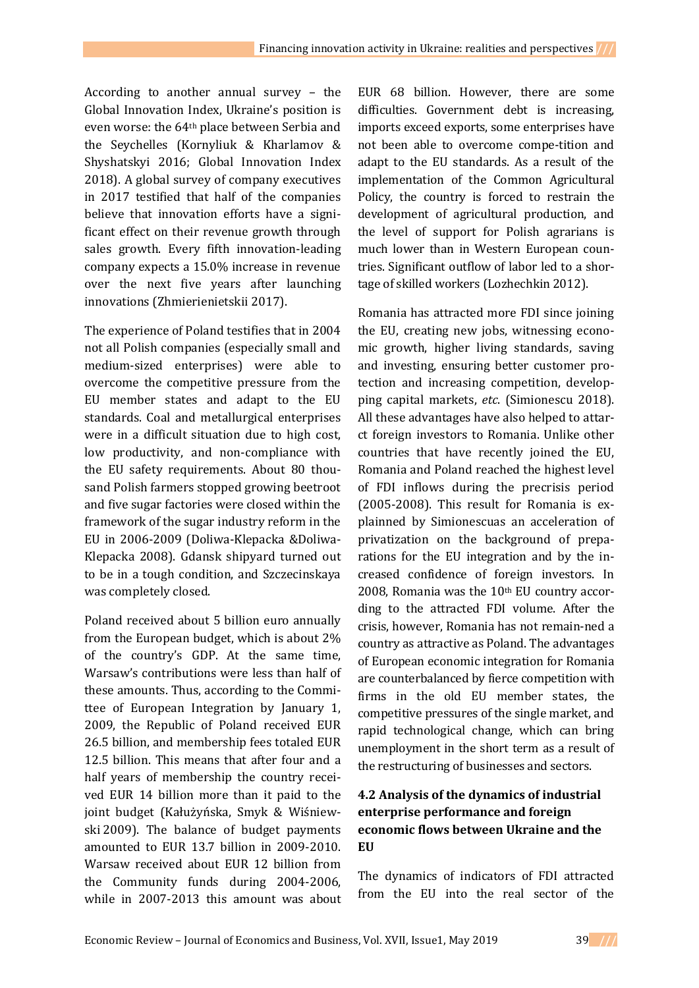According to another annual survey – the Global Innovation Index, Ukraine's position is even worse: the 64th place between Serbia and the Seychelles (Kornyliuk & Kharlamov & Shyshatskyi 2016; Global Innovation Index 2018). A global survey of company executives in 2017 testified that half of the companies believe that innovation efforts have a significant effect on their revenue growth through sales growth. Every fifth innovation-leading company expects a 15.0% increase in revenue over the next five years after launching innovations (Zhmierienietskii 2017).

The experience of Poland testifies that in 2004 not all Polish companies (especially small and medium-sized enterprises) were able to overcome the competitive pressure from the EU member states and adapt to the EU standards. Coal and metallurgical enterprises were in a difficult situation due to high cost, low productivity, and non-compliance with the EU safety requirements. About 80 thousand Polish farmers stopped growing beetroot and five sugar factories were closed within the framework of the sugar industry reform in the EU in 2006-2009 (Doliwa-Klepacka &Doliwa-Klepacka 2008). Gdansk shipyard turned out to be in a tough condition, and Szczecinskaya was completely closed.

Poland received about 5 billion euro annually from the European budget, which is about 2% of the country's GDP. At the same time, Warsaw's contributions were less than half of these amounts. Thus, according to the Committee of European Integration by January 1, 2009, the Republic of Poland received EUR 26.5 billion, and membership fees totaled EUR 12.5 billion. This means that after four and a half years of membership the country received EUR 14 billion more than it paid to the joint budget (Kałużyńska, Smyk & Wiśniewski 2009). The balance of budget payments amounted to EUR 13.7 billion in 2009-2010. Warsaw received about EUR 12 billion from the Community funds during 2004-2006, while in 2007-2013 this amount was about

EUR 68 billion. However, there are some difficulties. Government debt is increasing, imports exceed exports, some enterprises have not been able to overcome compe-tition and adapt to the EU standards. As a result of the implementation of the Common Agricultural Policy, the country is forced to restrain the development of agricultural production, and the level of support for Polish agrarians is much lower than in Western European countries. Significant outflow of labor led to a shortage of skilled workers (Lozhechkin 2012).

Romania has attracted more FDI since joining the EU, creating new jobs, witnessing economic growth, higher living standards, saving and investing, ensuring better customer protection and increasing competition, developping capital markets, *etc*. (Simionescu 2018). All these advantages have also helped to attarct foreign investors to Romania. Unlike other countries that have recently joined the EU, Romania and Poland reached the highest level of FDI inflows during the precrisis period (2005-2008). This result for Romania is explainned by Simionescuas an acceleration of privatization on the background of preparations for the EU integration and by the increased confidence of foreign investors. In 2008, Romania was the 10<sup>th</sup> EU country according to the attracted FDI volume. After the crisis, however, Romania has not remain-ned a country as attractive as Poland. The advantages of European economic integration for Romania are counterbalanced by fierce competition with firms in the old EU member states, the competitive pressures of the single market, and rapid technological change, which can bring unemployment in the short term as a result of the restructuring of businesses and sectors.

# **4.2 Analysis of the dynamics of industrial enterprise performance and foreign economic flows between Ukraine and the EU**

The dynamics of indicators of FDI attracted from the EU into the real sector of the

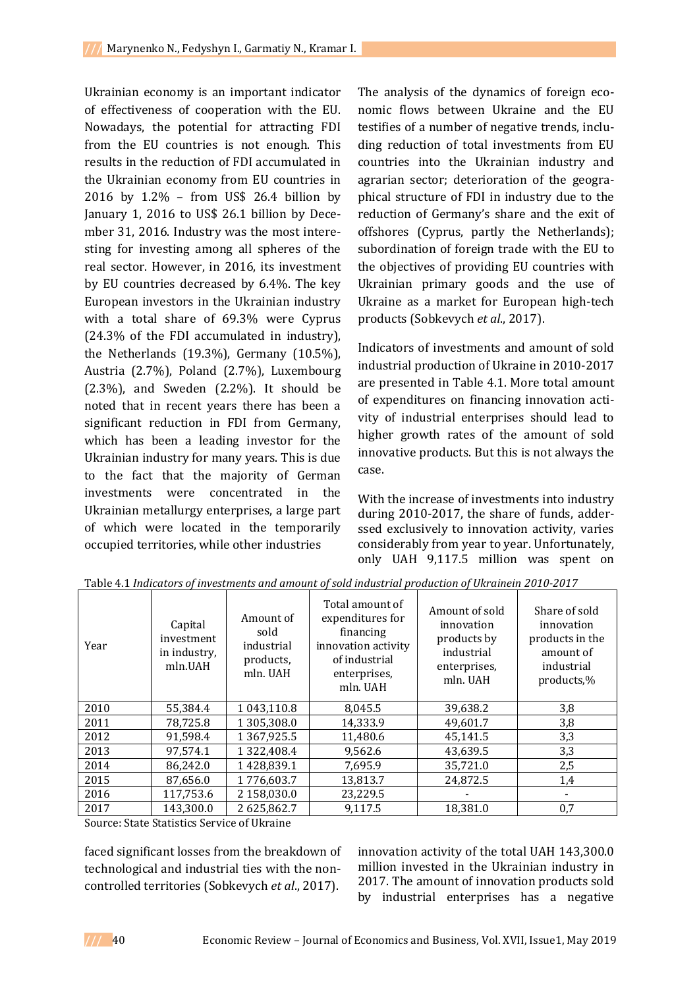Ukrainian economy is an important indicator of effectiveness of cooperation with the EU. Nowadays, the potential for attracting FDI from the EU countries is not enough. This results in the reduction of FDI accumulated in the Ukrainian economy from EU countries in 2016 by 1.2% – from US\$ 26.4 billion by January 1, 2016 to US\$ 26.1 billion by December 31, 2016. Industry was the most interesting for investing among all spheres of the real sector. However, in 2016, its investment by EU countries decreased by 6.4%. The key European investors in the Ukrainian industry with a total share of 69.3% were Cyprus (24.3% of the FDI accumulated in industry), the Netherlands (19.3%), Germany (10.5%), Austria (2.7%), Poland (2.7%), Luxembourg  $(2.3\%)$ , and Sweden  $(2.2\%)$ . It should be noted that in recent years there has been a significant reduction in FDI from Germany, which has been a leading investor for the Ukrainian industry for many years. This is due to the fact that the majority of German investments were concentrated in the Ukrainian metallurgy enterprises, a large part of which were located in the temporarily occupied territories, while other industries

The analysis of the dynamics of foreign economic flows between Ukraine and the EU testifies of a number of negative trends, including reduction of total investments from EU countries into the Ukrainian industry and agrarian sector; deterioration of the geographical structure of FDI in industry due to the reduction of Germany's share and the exit of offshores (Cyprus, partly the Netherlands); subordination of foreign trade with the EU to the objectives of providing EU countries with Ukrainian primary goods and the use of Ukraine as a market for European high-tech products (Sobkevych *et al*., 2017).

Indicators of investments and amount of sold industrial production of Ukraine in 2010-2017 are presented in Table 4.1. More total amount of expenditures on financing innovation activity of industrial enterprises should lead to higher growth rates of the amount of sold innovative products. But this is not always the case.

With the increase of investments into industry during 2010-2017, the share of funds, adderssed exclusively to innovation activity, varies considerably from year to year. Unfortunately, only UAH 9,117.5 million was spent on

| Year | Capital<br>investment<br>in industry,<br>mln.UAH | Amount of<br>sold<br>industrial<br>products,<br>mln. UAH | Total amount of<br>expenditures for<br>financing<br>innovation activity<br>of industrial<br>enterprises,<br>mln. UAH | Amount of sold<br>innovation<br>products by<br>industrial<br>enterprises,<br>mln. UAH | Share of sold<br>innovation<br>products in the<br>amount of<br>industrial<br>products,% |
|------|--------------------------------------------------|----------------------------------------------------------|----------------------------------------------------------------------------------------------------------------------|---------------------------------------------------------------------------------------|-----------------------------------------------------------------------------------------|
| 2010 | 55,384.4                                         | 1 043,110.8                                              | 8,045.5                                                                                                              | 39,638.2                                                                              | 3,8                                                                                     |
| 2011 | 78,725.8                                         | 1305,308.0                                               | 14,333.9                                                                                                             | 49,601.7                                                                              | 3,8                                                                                     |
| 2012 | 91.598.4                                         | 1367,925.5                                               | 11,480.6                                                                                                             | 45,141.5                                                                              | 3,3                                                                                     |
| 2013 | 97,574.1                                         | 1 3 2 2 , 4 0 8 . 4                                      | 9,562.6                                                                                                              | 43,639.5                                                                              | 3,3                                                                                     |
| 2014 | 86,242.0                                         | 1428,839.1                                               | 7,695.9                                                                                                              | 35,721.0                                                                              | 2,5                                                                                     |
| 2015 | 87,656.0                                         | 1776,603.7                                               | 13,813.7                                                                                                             | 24,872.5                                                                              | 1,4                                                                                     |
| 2016 | 117,753.6                                        | 2 158,030.0                                              | 23,229.5                                                                                                             |                                                                                       |                                                                                         |
| 2017 | 143.300.0                                        | 2625,862.7                                               | 9,117.5                                                                                                              | 18.381.0                                                                              | 0,7                                                                                     |

Table 4.1 *Indicators of investments and amount of sold industrial production of Ukrainein 2010-2017*

Source: State Statistics Service of Ukraine

faced significant losses from the breakdown of technological and industrial ties with the noncontrolled territories (Sobkevych *et al*., 2017).

innovation activity of the total UAH 143,300.0 million invested in the Ukrainian industry in 2017. The amount of innovation products sold by industrial enterprises has a negative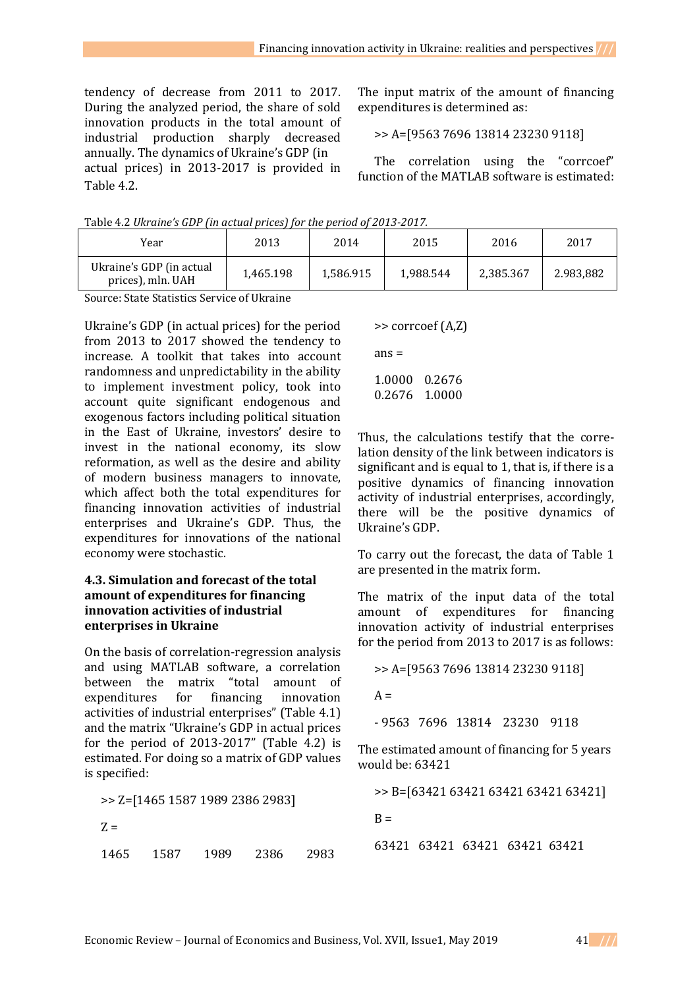tendency of decrease from 2011 to 2017. During the analyzed period, the share of sold innovation products in the total amount of industrial production sharply decreased annually. The dynamics of Ukraine's GDP (in actual prices) in 2013-2017 is provided in Table 4.2.

The input matrix of the amount of financing expenditures is determined as:

>> A=[9563 7696 13814 23230 9118]

The correlation using the "corrcoef" function of the MATLAB software is estimated:

Table 4.2 *Ukraine's GDP (in actual prices) for the period of 2013-2017.*

| Year                                          | 2013      | 2014      | 2015      | 2016      | 2017      |
|-----------------------------------------------|-----------|-----------|-----------|-----------|-----------|
| Ukraine's GDP (in actual<br>prices), mln. UAH | 1.465.198 | 1,586.915 | 1.988.544 | 2,385.367 | 2.983,882 |

Source: State Statistics Service of Ukraine

Ukraine's GDP (in actual prices) for the period from 2013 to 2017 showed the tendency to increase. A toolkit that takes into account randomness and unpredictability in the ability to implement investment policy, took into account quite significant endogenous and exogenous factors including political situation in the East of Ukraine, investors' desire to invest in the national economy, its slow reformation, as well as the desire and ability of modern business managers to innovate, which affect both the total expenditures for financing innovation activities of industrial enterprises and Ukraine's GDP. Thus, the expenditures for innovations of the national economy were stochastic.

### **4.3. Simulation and forecast of the total amount of expenditures for financing innovation activities of industrial enterprises in Ukraine**

On the basis of correlation-regression analysis and using MATLAB software, a correlation between the matrix "total amount of expenditures for financing innovation activities of industrial enterprises" (Table 4.1) and the matrix "Ukraine's GDP in actual prices for the period of 2013-2017" (Table 4.2) is estimated. For doing so a matrix of GDP values is specified:

>> Z=[1465 1587 1989 2386 2983]

 $Z =$ 

1465 1587 1989 2386 2983

>> corrcoef (A,Z)

 $ans =$ 

1.0000 0.2676 0.2676 1.0000

Thus, the calculations testify that the correlation density of the link between indicators is significant and is equal to 1, that is, if there is a positive dynamics of financing innovation activity of industrial enterprises, accordingly, there will be the positive dynamics of Ukraine's GDP.

To carry out the forecast, the data of Table 1 are presented in the matrix form.

The matrix of the input data of the total amount of expenditures for financing innovation activity of industrial enterprises for the period from 2013 to 2017 is as follows:

>> A=[9563 7696 13814 23230 9118]

 $A =$ 

- 9563 7696 13814 23230 9118

The estimated amount of financing for 5 years would be: 63421

>> B=[63421 63421 63421 63421 63421]

 $B =$ 

63421 63421 63421 63421 63421

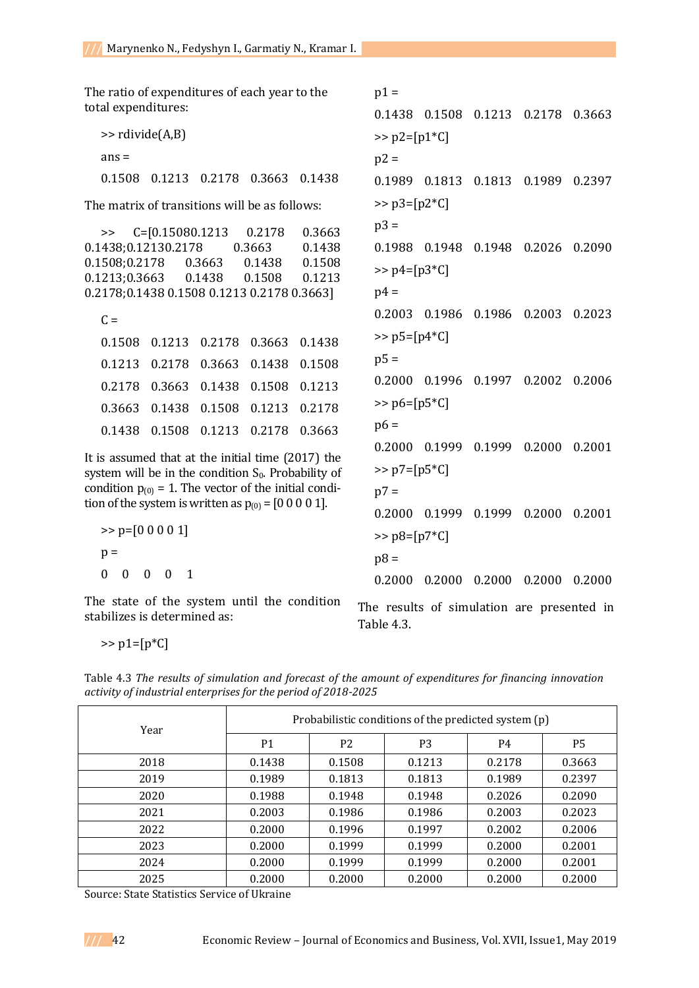The ratio of expenditures of each year to the total expenditures:

>> rdivide(A,B)  $ans =$ 0.1508 0.1213 0.2178 0.3663 0.1438

The matrix of transitions will be as follows:

|                     | $\Rightarrow$ C=[0.15080.1213              | 0.2178 | 0.3663 |
|---------------------|--------------------------------------------|--------|--------|
| 0.1438;0.12130.2178 |                                            | 0.3663 | 0.1438 |
|                     | 0.1508;0.2178   0.3663                     | 0.1438 | 0.1508 |
| 0.1213;0.3663       | 0.1438                                     | 0.1508 | 0.1213 |
|                     | 0.2178;0.1438 0.1508 0.1213 0.2178 0.3663] |        |        |
|                     |                                            |        |        |
| $C =$               |                                            |        |        |

|  | 0.1508  0.1213  0.2178  0.3663  0.1438 |  |
|--|----------------------------------------|--|
|  | 0.1213  0.2178  0.3663  0.1438  0.1508 |  |
|  | 0.2178  0.3663  0.1438  0.1508  0.1213 |  |
|  | 0.3663 0.1438 0.1508 0.1213 0.2178     |  |
|  | 0.1438  0.1508  0.1213  0.2178  0.3663 |  |

It is assumed that at the initial time (2017) the system will be in the condition  $S_0$ . Probability of condition  $p_{(0)} = 1$ . The vector of the initial condition of the system is written as  $p_{(0)} = [0\ 0\ 0\ 0\ 1]$ .

>> p=[0 0 0 0 1] p = 0 0 0 0 1

The state of the system until the condition stabilizes is determined as:

 $p1 =$ 0.1438 0.1508 0.1213 0.2178 0.3663  $>> p2 = [p1*C]$  $p2 =$ 0.1989 0.1813 0.1813 0.1989 0.2397  $>>$  p3=[p2\*C]  $p3 =$ 0.1988 0.1948 0.1948 0.2026 0.2090  $>> p4=[p3*C]$  $p4 =$ 0.2003 0.1986 0.1986 0.2003 0.2023  $>>$   $p5=[p4*C]$  $p5 =$ 0.2000 0.1996 0.1997 0.2002 0.2006 >> p6=[p5\*C]  $p6 =$ 0.2000 0.1999 0.1999 0.2000 0.2001 >> p7=[p5\*C]  $p7 =$ 0.2000 0.1999 0.1999 0.2000 0.2001  $>>$   $p8=[p7*C]$  $p8 =$ 0.2000 0.2000 0.2000 0.2000 0.2000

The results of simulation are presented in Table 4.3.

 $>> p1=[p*C]$ 

Table 4.3 *The results of simulation and forecast of the amount of expenditures for financing innovation activity of industrial enterprises for the period of 2018-2025*

| Year | Probabilistic conditions of the predicted system (p) |                |                |        |                |  |
|------|------------------------------------------------------|----------------|----------------|--------|----------------|--|
|      | P <sub>1</sub>                                       | P <sub>2</sub> | P <sub>3</sub> | P4     | P <sub>5</sub> |  |
| 2018 | 0.1438                                               | 0.1508         | 0.1213         | 0.2178 | 0.3663         |  |
| 2019 | 0.1989                                               | 0.1813         | 0.1813         | 0.1989 | 0.2397         |  |
| 2020 | 0.1988                                               | 0.1948         | 0.1948         | 0.2026 | 0.2090         |  |
| 2021 | 0.2003                                               | 0.1986         | 0.1986         | 0.2003 | 0.2023         |  |
| 2022 | 0.2000                                               | 0.1996         | 0.1997         | 0.2002 | 0.2006         |  |
| 2023 | 0.2000                                               | 0.1999         | 0.1999         | 0.2000 | 0.2001         |  |
| 2024 | 0.2000                                               | 0.1999         | 0.1999         | 0.2000 | 0.2001         |  |
| 2025 | 0.2000                                               | 0.2000         | 0.2000         | 0.2000 | 0.2000         |  |

Source: State Statistics Service of Ukraine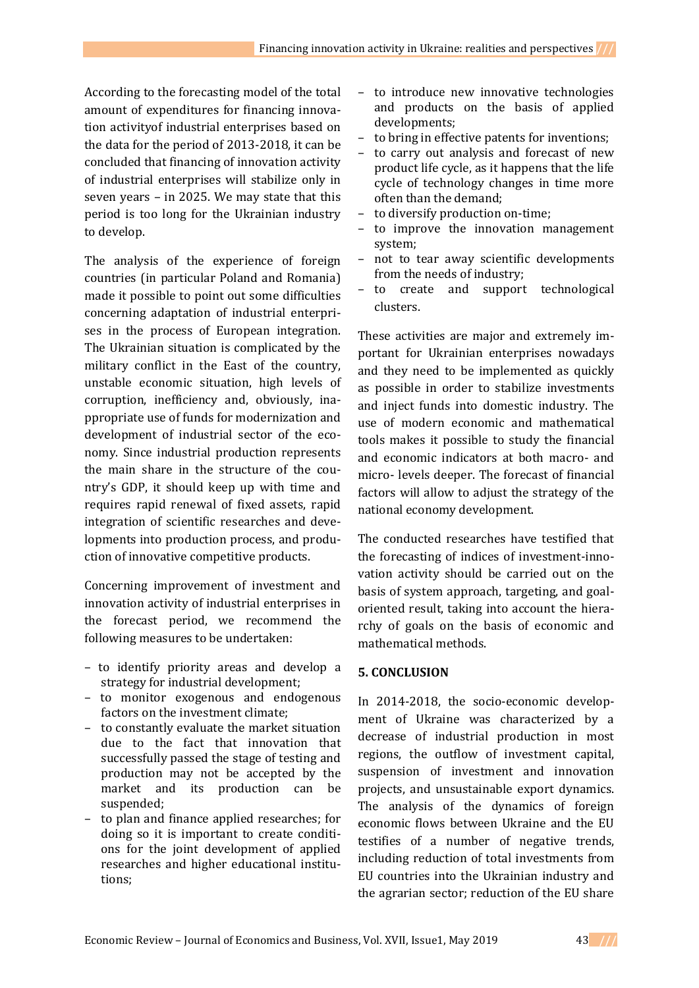According to the forecasting model of the total amount of expenditures for financing innovation activityof industrial enterprises based on the data for the period of 2013-2018, it can be concluded that financing of innovation activity of industrial enterprises will stabilize only in seven years – in 2025. We may state that this period is too long for the Ukrainian industry to develop.

The analysis of the experience of foreign countries (in particular Poland and Romania) made it possible to point out some difficulties concerning adaptation of industrial enterprises in the process of European integration. The Ukrainian situation is complicated by the military conflict in the East of the country, unstable economic situation, high levels of corruption, inefficiency and, obviously, inappropriate use of funds for modernization and development of industrial sector of the economy. Since industrial production represents the main share in the structure of the country's GDP, it should keep up with time and requires rapid renewal of fixed assets, rapid integration of scientific researches and developments into production process, and production of innovative competitive products.

Concerning improvement of investment and innovation activity of industrial enterprises in the forecast period, we recommend the following measures to be undertaken:

- to identify priority areas and develop a strategy for industrial development;
- to monitor exogenous and endogenous factors on the investment climate;
- to constantly evaluate the market situation due to the fact that innovation that successfully passed the stage of testing and production may not be accepted by the market and its production can be suspended;
- to plan and finance applied researches; for doing so it is important to create conditions for the joint development of applied researches and higher educational institutions;
- to introduce new innovative technologies and products on the basis of applied developments;
- to bring in effective patents for inventions;
- to carry out analysis and forecast of new product life cycle, as it happens that the life cycle of technology changes in time more often than the demand;
- to diversify production on-time;
- to improve the innovation management system;
- not to tear away scientific developments from the needs of industry;
- to create and support technological clusters.

These activities are major and extremely important for Ukrainian enterprises nowadays and they need to be implemented as quickly as possible in order to stabilize investments and inject funds into domestic industry. The use of modern economic and mathematical tools makes it possible to study the financial and economic indicators at both macro- and micro- levels deeper. The forecast of financial factors will allow to adjust the strategy of the national economy development.

The conducted researches have testified that the forecasting of indices of investment-innovation activity should be carried out on the basis of system approach, targeting, and goaloriented result, taking into account the hierarchy of goals on the basis of economic and mathematical methods.

## **5. CONCLUSION**

In 2014-2018, the socio-economic development of Ukraine was characterized by a decrease of industrial production in most regions, the outflow of investment capital, suspension of investment and innovation projects, and unsustainable export dynamics. The analysis of the dynamics of foreign economic flows between Ukraine and the EU testifies of a number of negative trends, including reduction of total investments from EU countries into the Ukrainian industry and the agrarian sector; reduction of the EU share

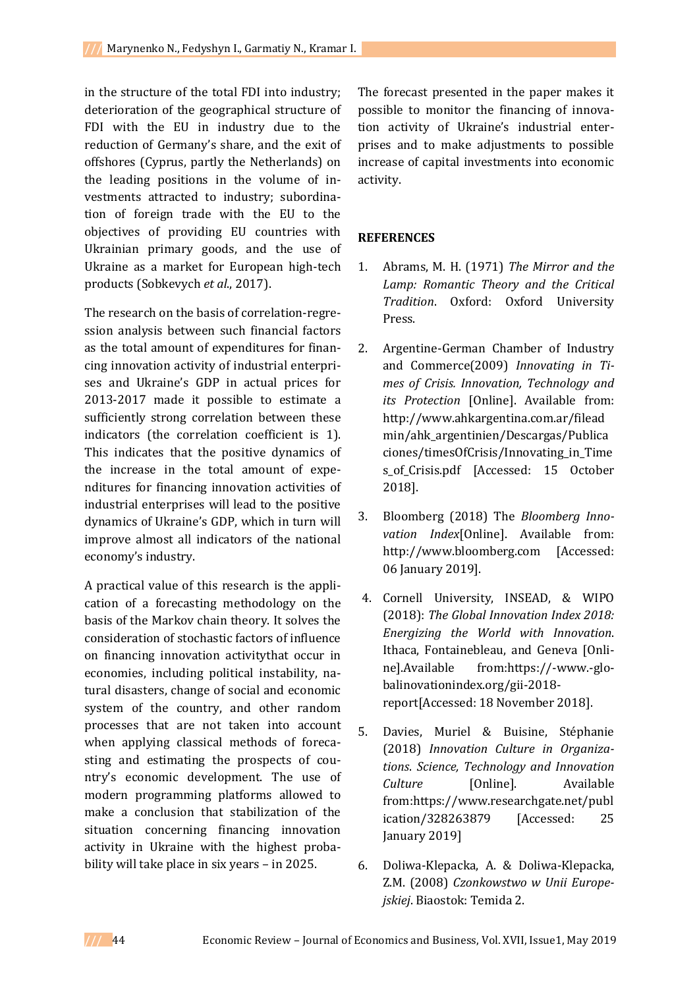in the structure of the total FDI into industry; deterioration of the geographical structure of FDI with the EU in industry due to the reduction of Germany's share, and the exit of offshores (Cyprus, partly the Netherlands) on the leading positions in the volume of investments attracted to industry; subordination of foreign trade with the EU to the objectives of providing EU countries with Ukrainian primary goods, and the use of Ukraine as a market for European high-tech products (Sobkevych *et al*., 2017).

The research on the basis of correlation-regression analysis between such financial factors as the total amount of expenditures for financing innovation activity of industrial enterprises and Ukraine's GDP in actual prices for 2013-2017 made it possible to estimate a sufficiently strong correlation between these indicators (the correlation coefficient is 1). This indicates that the positive dynamics of the increase in the total amount of expenditures for financing innovation activities of industrial enterprises will lead to the positive dynamics of Ukraine's GDP, which in turn will improve almost all indicators of the national economy's industry.

A practical value of this research is the application of a forecasting methodology on the basis of the Markov chain theory. It solves the consideration of stochastic factors of influence on financing innovation activitythat occur in economies, including political instability, natural disasters, change of social and economic system of the country, and other random processes that are not taken into account when applying classical methods of forecasting and estimating the prospects of country's economic development. The use of modern programming platforms allowed to make a conclusion that stabilization of the situation concerning financing innovation activity in Ukraine with the highest probability will take place in six years – in 2025.

The forecast presented in the paper makes it possible to monitor the financing of innovation activity of Ukraine's industrial enterprises and to make adjustments to possible increase of capital investments into economic activity.

## **REFERENCES**

- 1. Abrams, M. H. (1971) *The Mirror and the Lamp: Romantic Theory and the Critical Tradition*. Oxford: Oxford University Press.
- 2. Argentine-German Chamber of Industry and Commerce(2009) *Innovating in Times of Crisis. Innovation, Technology and its Protection* [Online]. Available from: [http://www.ahkargentina.com.ar/filead](http://www.ahkargentina.com.ar/fileadmin/ahk_argentinien/Descargas/Publicaciones/timesOfCrisis/Innovating_in_Times_of_Crisis.pdf) [min/ahk\\_argentinien/Descargas/Publica](http://www.ahkargentina.com.ar/fileadmin/ahk_argentinien/Descargas/Publicaciones/timesOfCrisis/Innovating_in_Times_of_Crisis.pdf) [ciones/timesOfCrisis/Innovating\\_in\\_Time](http://www.ahkargentina.com.ar/fileadmin/ahk_argentinien/Descargas/Publicaciones/timesOfCrisis/Innovating_in_Times_of_Crisis.pdf) s of Crisis.pdf [Accessed: 15 October 2018].
- 3. Bloomberg (2018) The *Bloomberg Innovation Index*[Online]. Available from: http:/[/www.bloomberg.com](http://www.bloomberg.com/) [Accessed: 06 January 2019].
- 4. Cornell University, INSEAD, & WIPO (2018): *The Global Innovation Index 2018: Energizing the World with Innovation*. Ithaca, Fontainebleau, and Geneva [Online].Available from[:https://-www.-glo](https://-www.-glo-balinovationindex.org/gii-2018-report)[balinovationindex.org/gii-2018](https://-www.-glo-balinovationindex.org/gii-2018-report) [report\[](https://-www.-glo-balinovationindex.org/gii-2018-report)Accessed: 18 November 2018].
- 5. Davies, Muriel & Buisine, Stéphanie (2018) *Innovation Culture in Organizations*. *Science, Technology and Innovation Culture* [Online]. Available from[:https://www.researchgate.net/publ](https://www.researchgate.net/publication/328263879) [ication/328263879](https://www.researchgate.net/publication/328263879) [Accessed: 25 January 2019]
- 6. Doliwa-Klepacka, A. & Doliwa-Klepacka, Z.M. (2008) *Czonkowstwo w Unii Europejskiej*. Biaostok: Temida 2.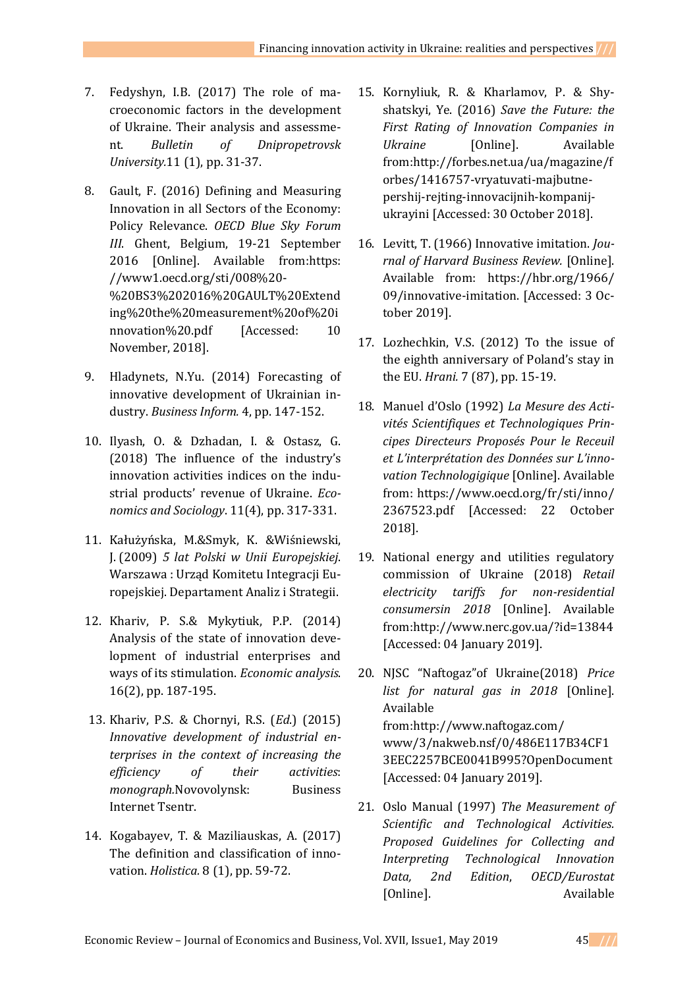- 7. Fedyshyn, І.B. (2017) The role of macroeconomic factors in the development of Ukraine. Their analysis and assessment. *Bulletin of Dnipropetrovsk University.*11 (1), pp. 31-37.
- 8. Gault, F. (2016) Defining and Measuring Innovation in all Sectors of the Economy: Policy Relevance. *OECD Blue Sky Forum III*. Ghent, Belgium, 19-21 September 2016 [Online]. Available from[:https:](https://www1.oecd.org/sti/008%20-%20BS3%202016%20GAULT%20Extending%20the%20measurement%20of%20innovation%20.pdf) [//www1.oecd.org/sti/008%20-](https://www1.oecd.org/sti/008%20-%20BS3%202016%20GAULT%20Extending%20the%20measurement%20of%20innovation%20.pdf) [%20BS3%202016%20GAULT%20Extend](https://www1.oecd.org/sti/008%20-%20BS3%202016%20GAULT%20Extending%20the%20measurement%20of%20innovation%20.pdf) [ing%20the%20measurement%20of%20i](https://www1.oecd.org/sti/008%20-%20BS3%202016%20GAULT%20Extending%20the%20measurement%20of%20innovation%20.pdf) [nnovation%20.pdf](https://www1.oecd.org/sti/008%20-%20BS3%202016%20GAULT%20Extending%20the%20measurement%20of%20innovation%20.pdf) [Accessed: 10 November, 2018].
- 9. [Hladynets,](http://irbis-nbuv.gov.ua/cgi-bin/irbis_nbuv/cgiirbis_64.exe?Z21ID=&I21DBN=UJRN&P21DBN=UJRN&S21STN=1&S21REF=10&S21FMT=fullwebr&C21COM=S&S21CNR=20&S21P01=0&S21P02=0&S21P03=A=&S21COLORTERMS=1&S21STR=%D0%93%D0%BB%D0%B0%D0%B4%D0%B8%D0%BD%D0%B5%D1%86%D1%8C%20%D0%9D$) N.Yu. (2014) Forecasting of innovative development of Ukrainian industry. *Business Inform.* 4, pp. 147-152.
- 10. Ilyash, O. & Dzhadan, I. & Ostasz, G. (2018) The influence of the industry's innovation activities indices on the industrial products' revenue of Ukraine. *Economics and Sociology*. 11(4), pp. 317-331.
- 11. Kałużyńska, M.&Smyk, K. &Wiśniewski, J. (2009) *5 lat Polski w Unii Europejskiej*. Warszawa : Urząd Komitetu Integracji Europejskiej. Departament Analiz i Strategii.
- 12. [Khariv, P. S.&](http://www.irbis-nbuv.gov.ua/cgi-bin/irbis_nbuv/cgiirbis_64.exe?Z21ID=&I21DBN=UJRN&P21DBN=UJRN&S21STN=1&S21REF=10&S21FMT=fullwebr&C21COM=S&S21CNR=20&S21P01=0&S21P02=0&S21P03=A=&S21COLORTERMS=1&S21STR=%D0%A5%D0%B0%D1%80%D1%96%D0%B2%20%D0%9F$) Mykytiuk, P.P. (2014) Analysis of the state of innovation development of industrial enterprises and ways of its stimulation. *Economic analysis*. 16(2), pp. 187-195.
- 13. Khariv, P.S. & Chornyi, R.S. (*Ed*.) (2015) *[Innovative development of industrial en](http://library.tneu.edu.ua/images/stories/praci_vukladachiv/%D0%A4%D0%B0%D0%BA%D1%83%D0%BB%D1%8C%D1%82%D0%B5%D1%82%20%D0%95%D0%A3/%D0%9A%D0%B0%D1%84%D0%95%D0%9F%D1%96%D0%9A/%D0%A5%D0%B0%D1%80%D1%96%D0%B2%20%D0%9F.%20%D0%A1/book/%D0%86%D0%BD%D0%BD%D0%BE%D0%B2%D0%B0%D1%86%D1%96%D0%B9%D0%BD%D0%B9%20%D1%80%D0%BE%D0%B7%D0%B2%D0%B8%D1%82%D0%BE%D0%BA%20%D0%BF.pdf)[terprises in the context of increasing the](http://library.tneu.edu.ua/images/stories/praci_vukladachiv/%D0%A4%D0%B0%D0%BA%D1%83%D0%BB%D1%8C%D1%82%D0%B5%D1%82%20%D0%95%D0%A3/%D0%9A%D0%B0%D1%84%D0%95%D0%9F%D1%96%D0%9A/%D0%A5%D0%B0%D1%80%D1%96%D0%B2%20%D0%9F.%20%D0%A1/book/%D0%86%D0%BD%D0%BD%D0%BE%D0%B2%D0%B0%D1%86%D1%96%D0%B9%D0%BD%D0%B9%20%D1%80%D0%BE%D0%B7%D0%B2%D0%B8%D1%82%D0%BE%D0%BA%20%D0%BF.pdf)  [efficiency of their activities](http://library.tneu.edu.ua/images/stories/praci_vukladachiv/%D0%A4%D0%B0%D0%BA%D1%83%D0%BB%D1%8C%D1%82%D0%B5%D1%82%20%D0%95%D0%A3/%D0%9A%D0%B0%D1%84%D0%95%D0%9F%D1%96%D0%9A/%D0%A5%D0%B0%D1%80%D1%96%D0%B2%20%D0%9F.%20%D0%A1/book/%D0%86%D0%BD%D0%BD%D0%BE%D0%B2%D0%B0%D1%86%D1%96%D0%B9%D0%BD%D0%B9%20%D1%80%D0%BE%D0%B7%D0%B2%D0%B8%D1%82%D0%BE%D0%BA%20%D0%BF.pdf)*: *monograph.*[Novovolynsk: Business](http://library.tneu.edu.ua/images/stories/praci_vukladachiv/%D0%A4%D0%B0%D0%BA%D1%83%D0%BB%D1%8C%D1%82%D0%B5%D1%82%20%D0%95%D0%A3/%D0%9A%D0%B0%D1%84%D0%95%D0%9F%D1%96%D0%9A/%D0%A5%D0%B0%D1%80%D1%96%D0%B2%20%D0%9F.%20%D0%A1/book/%D0%86%D0%BD%D0%BD%D0%BE%D0%B2%D0%B0%D1%86%D1%96%D0%B9%D0%BD%D0%B9%20%D1%80%D0%BE%D0%B7%D0%B2%D0%B8%D1%82%D0%BE%D0%BA%20%D0%BF.pdf)  [Internet Tsentr.](http://library.tneu.edu.ua/images/stories/praci_vukladachiv/%D0%A4%D0%B0%D0%BA%D1%83%D0%BB%D1%8C%D1%82%D0%B5%D1%82%20%D0%95%D0%A3/%D0%9A%D0%B0%D1%84%D0%95%D0%9F%D1%96%D0%9A/%D0%A5%D0%B0%D1%80%D1%96%D0%B2%20%D0%9F.%20%D0%A1/book/%D0%86%D0%BD%D0%BD%D0%BE%D0%B2%D0%B0%D1%86%D1%96%D0%B9%D0%BD%D0%B9%20%D1%80%D0%BE%D0%B7%D0%B2%D0%B8%D1%82%D0%BE%D0%BA%20%D0%BF.pdf)
- 14. Kogabayev, T. & Maziliauskas, A. (2017) The definition and classification of innovation. *Holistica.* 8 (1), pp. 59-72.
- 15. Kornyliuk, R. & Kharlamov, P. & Shyshatskyi, Ye. (2016) *Save the Future: the First Rating of Innovation Companies in Ukraine* [Online]. Available from[:http://forbes.net.ua/ua/magazine/f](http://forbes.net.ua/ua/magazine/forbes/1416757-vryatuvati-majbutne-pershij-rejting-innovacijnih-kompanij-ukrayini) [orbes/1416757-vryatuvati-majbutne](http://forbes.net.ua/ua/magazine/forbes/1416757-vryatuvati-majbutne-pershij-rejting-innovacijnih-kompanij-ukrayini)[pershij-rejting-innovacijnih-kompanij](http://forbes.net.ua/ua/magazine/forbes/1416757-vryatuvati-majbutne-pershij-rejting-innovacijnih-kompanij-ukrayini)[ukrayini](http://forbes.net.ua/ua/magazine/forbes/1416757-vryatuvati-majbutne-pershij-rejting-innovacijnih-kompanij-ukrayini) [Accessed: 30 October 2018].
- 16. Levitt, T. (1966) Innovative imitation. *Journal of Harvard Business Review.* [Online]. Available from: [https://hbr.org/1966/](https://hbr.org/1966/%2009/)  [09/i](https://hbr.org/1966/%2009/)nnovative-imitation. [Accessed: 3 October 2019].
- 17. Lozhechkin, V.S. (2012) To the issue of the eighth anniversary of Poland's stay in the EU. *Hrani.* 7 (87), pp. 15-19.
- 18. Manuel d'Oslo (1992) *La Mesure des Activités Scientifiques et Technologiques Principes Directeurs Proposés Pour le Receuil et L'interprétation des Données sur L'innovation Technologigique* [Online]. Available from: [https://www.oecd.org/fr/sti/inno/](https://www.oecd.org/fr/sti/inno/%202367523.pdf)  [2367523.pdf](https://www.oecd.org/fr/sti/inno/%202367523.pdf) [Accessed: 22 October 2018].
- 19. [National energy and utilities](http://www.nerc.gov.ua/) regulatory [commission of Ukraine](http://www.nerc.gov.ua/) (2018) *Retail electricity tariffs for non-residential consumersin 2018* [Online]. Available from[:http://www.nerc.gov.ua/?id=13844](http://www.nerc.gov.ua/?id=13844) [Accessed: 04 January 2019].
- 20. NJSC "Naftogaz"of Ukraine(2018) *Price list for natural gas in 2018* [Online]. Available from[:http://www.naftogaz.com/](http://www.naftogaz.com/%20www/3/nakweb.nsf/0/486E117B34CF13EEC2257BCE0041B995?OpenDocument)  [www/3/nakweb.nsf/0/486E117B34CF1](http://www.naftogaz.com/%20www/3/nakweb.nsf/0/486E117B34CF13EEC2257BCE0041B995?OpenDocument) [3EEC2257BCE0041B995?OpenDocument](http://www.naftogaz.com/%20www/3/nakweb.nsf/0/486E117B34CF13EEC2257BCE0041B995?OpenDocument) [Accessed: 04 January 2019].
- 21. Oslo Manual (1997) *The Measurement of Scientific and Technological Activities. Proposed Guidelines for Collecting and Interpreting Technological Innovation Data, 2nd Edition*, *OECD/Eurostat* [Online]. Available